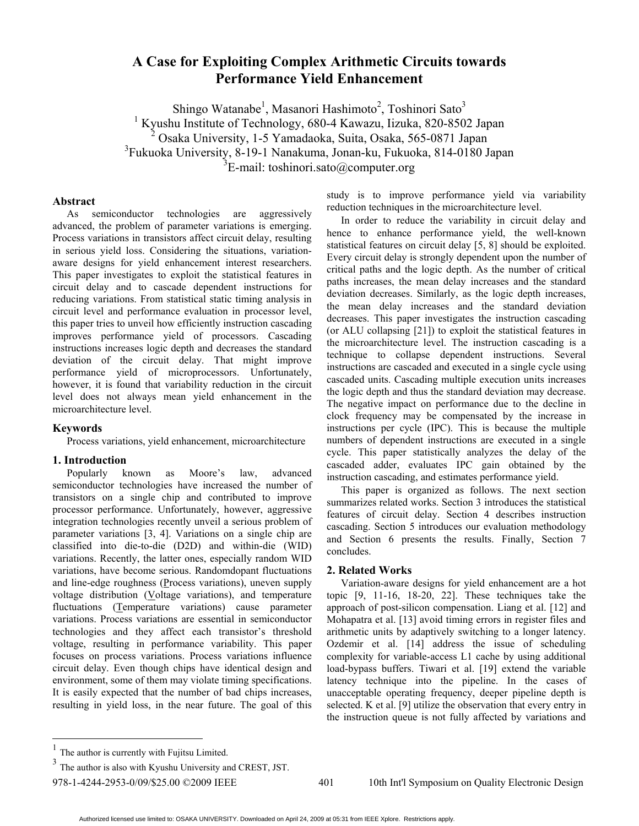# **A Case for Exploiting Complex Arithmetic Circuits towards Performance Yield Enhancement**

Shingo Watanabe<sup>1</sup>, Masanori Hashimoto<sup>2</sup>, Toshinori Sato<sup>3</sup> 1 Kyushu Institute of Technology, 680-4 Kawazu, Iizuka, 820-8502 Japan 2 Osaka University, 1-5 Yamadaoka, Suita, Osaka, 565-0871 Japan 3 Fukuoka University, 8-19-1 Nanakuma, Jonan-ku, Fukuoka, 814-0180 Japan  $3E$ -mail: toshinori.sato@computer.org

# **Abstract**

As semiconductor technologies are aggressively advanced, the problem of parameter variations is emerging. Process variations in transistors affect circuit delay, resulting in serious yield loss. Considering the situations, variationaware designs for yield enhancement interest researchers. This paper investigates to exploit the statistical features in circuit delay and to cascade dependent instructions for reducing variations. From statistical static timing analysis in circuit level and performance evaluation in processor level, this paper tries to unveil how efficiently instruction cascading improves performance yield of processors. Cascading instructions increases logic depth and decreases the standard deviation of the circuit delay. That might improve performance yield of microprocessors. Unfortunately, however, it is found that variability reduction in the circuit level does not always mean yield enhancement in the microarchitecture level.

## **Keywords**

 $\overline{a}$ 

Process variations, yield enhancement, microarchitecture

#### **1. Introduction**

Popularly known as Moore's law, advanced semiconductor technologies have increased the number of transistors on a single chip and contributed to improve processor performance. Unfortunately, however, aggressive integration technologies recently unveil a serious problem of parameter variations [3, 4]. Variations on a single chip are classified into die-to-die (D2D) and within-die (WID) variations. Recently, the latter ones, especially random WID variations, have become serious. Randomdopant fluctuations and line-edge roughness (Process variations), uneven supply voltage distribution ( $V$ oltage variations), and temperature</u> fluctuations (Temperature variations) cause parameter variations. Process variations are essential in semiconductor technologies and they affect each transistor's threshold voltage, resulting in performance variability. This paper focuses on process variations. Process variations influence circuit delay. Even though chips have identical design and environment, some of them may violate timing specifications. It is easily expected that the number of bad chips increases, resulting in yield loss, in the near future. The goal of this study is to improve performance yield via variability reduction techniques in the microarchitecture level.

In order to reduce the variability in circuit delay and hence to enhance performance yield, the well-known statistical features on circuit delay [5, 8] should be exploited. Every circuit delay is strongly dependent upon the number of critical paths and the logic depth. As the number of critical paths increases, the mean delay increases and the standard deviation decreases. Similarly, as the logic depth increases, the mean delay increases and the standard deviation decreases. This paper investigates the instruction cascading (or ALU collapsing [21]) to exploit the statistical features in the microarchitecture level. The instruction cascading is a technique to collapse dependent instructions. Several instructions are cascaded and executed in a single cycle using cascaded units. Cascading multiple execution units increases the logic depth and thus the standard deviation may decrease. The negative impact on performance due to the decline in clock frequency may be compensated by the increase in instructions per cycle (IPC). This is because the multiple numbers of dependent instructions are executed in a single cycle. This paper statistically analyzes the delay of the cascaded adder, evaluates IPC gain obtained by the instruction cascading, and estimates performance yield.

This paper is organized as follows. The next section summarizes related works. Section 3 introduces the statistical features of circuit delay. Section 4 describes instruction cascading. Section 5 introduces our evaluation methodology and Section 6 presents the results. Finally, Section 7 concludes.

#### **2. Related Works**

Variation-aware designs for yield enhancement are a hot topic [9, 11-16, 18-20, 22]. These techniques take the approach of post-silicon compensation. Liang et al. [12] and Mohapatra et al. [13] avoid timing errors in register files and arithmetic units by adaptively switching to a longer latency. Ozdemir et al. [14] address the issue of scheduling complexity for variable-access L1 cache by using additional load-bypass buffers. Tiwari et al. [19] extend the variable latency technique into the pipeline. In the cases of unacceptable operating frequency, deeper pipeline depth is selected. K et al. [9] utilize the observation that every entry in the instruction queue is not fully affected by variations and

<sup>1</sup> The author is currently with Fujitsu Limited.

 $3$  The author is also with Kyushu University and CREST, JST.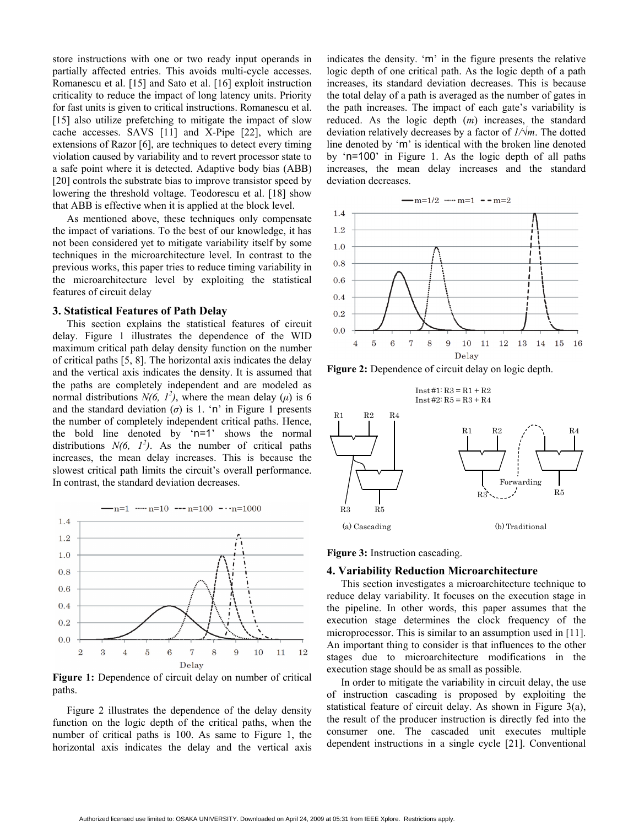store instructions with one or two ready input operands in partially affected entries. This avoids multi-cycle accesses. Romanescu et al. [15] and Sato et al. [16] exploit instruction criticality to reduce the impact of long latency units. Priority for fast units is given to critical instructions. Romanescu et al. [15] also utilize prefetching to mitigate the impact of slow cache accesses. SAVS [11] and X-Pipe [22], which are extensions of Razor [6], are techniques to detect every timing violation caused by variability and to revert processor state to a safe point where it is detected. Adaptive body bias (ABB) [20] controls the substrate bias to improve transistor speed by lowering the threshold voltage. Teodorescu et al. [18] show that ABB is effective when it is applied at the block level.

As mentioned above, these techniques only compensate the impact of variations. To the best of our knowledge, it has not been considered yet to mitigate variability itself by some techniques in the microarchitecture level. In contrast to the previous works, this paper tries to reduce timing variability in the microarchitecture level by exploiting the statistical features of circuit delay

#### **3. Statistical Features of Path Delay**

This section explains the statistical features of circuit delay. Figure 1 illustrates the dependence of the WID maximum critical path delay density function on the number of critical paths [5, 8]. The horizontal axis indicates the delay and the vertical axis indicates the density. It is assumed that the paths are completely independent and are modeled as normal distributions  $N(6, 1^2)$ , where the mean delay ( $\mu$ ) is 6 and the standard deviation  $(\sigma)$  is 1. 'n' in Figure 1 presents the number of completely independent critical paths. Hence, the bold line denoted by 'n=1' shows the normal distributions  $N(6, 1^2)$ . As the number of critical paths increases, the mean delay increases. This is because the slowest critical path limits the circuit's overall performance. In contrast, the standard deviation decreases.



Figure 1: Dependence of circuit delay on number of critical paths.

Figure 2 illustrates the dependence of the delay density function on the logic depth of the critical paths, when the number of critical paths is 100. As same to Figure 1, the horizontal axis indicates the delay and the vertical axis indicates the density. 'm' in the figure presents the relative logic depth of one critical path. As the logic depth of a path increases, its standard deviation decreases. This is because the total delay of a path is averaged as the number of gates in the path increases. The impact of each gate's variability is reduced. As the logic depth (*m*) increases, the standard deviation relatively decreases by a factor of *1/√m*. The dotted line denoted by 'm' is identical with the broken line denoted by 'n=100' in Figure 1. As the logic depth of all paths increases, the mean delay increases and the standard deviation decreases.



**Figure 2:** Dependence of circuit delay on logic depth.



**Figure 3:** Instruction cascading.

#### **4. Variability Reduction Microarchitecture**

This section investigates a microarchitecture technique to reduce delay variability. It focuses on the execution stage in the pipeline. In other words, this paper assumes that the execution stage determines the clock frequency of the microprocessor. This is similar to an assumption used in [11]. An important thing to consider is that influences to the other stages due to microarchitecture modifications in the execution stage should be as small as possible.

In order to mitigate the variability in circuit delay, the use of instruction cascading is proposed by exploiting the statistical feature of circuit delay. As shown in Figure 3(a), the result of the producer instruction is directly fed into the consumer one. The cascaded unit executes multiple dependent instructions in a single cycle [21]. Conventional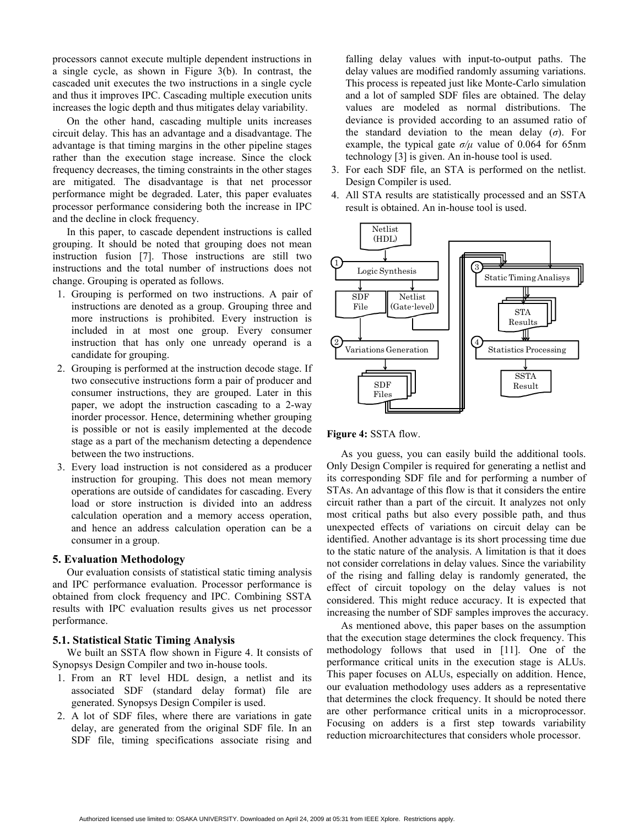processors cannot execute multiple dependent instructions in a single cycle, as shown in Figure 3(b). In contrast, the cascaded unit executes the two instructions in a single cycle and thus it improves IPC. Cascading multiple execution units increases the logic depth and thus mitigates delay variability.

On the other hand, cascading multiple units increases circuit delay. This has an advantage and a disadvantage. The advantage is that timing margins in the other pipeline stages rather than the execution stage increase. Since the clock frequency decreases, the timing constraints in the other stages are mitigated. The disadvantage is that net processor performance might be degraded. Later, this paper evaluates processor performance considering both the increase in IPC and the decline in clock frequency.

In this paper, to cascade dependent instructions is called grouping. It should be noted that grouping does not mean instruction fusion [7]. Those instructions are still two instructions and the total number of instructions does not change. Grouping is operated as follows.

- 1. Grouping is performed on two instructions. A pair of instructions are denoted as a group. Grouping three and more instructions is prohibited. Every instruction is included in at most one group. Every consumer instruction that has only one unready operand is a candidate for grouping.
- 2. Grouping is performed at the instruction decode stage. If two consecutive instructions form a pair of producer and consumer instructions, they are grouped. Later in this paper, we adopt the instruction cascading to a 2-way inorder processor. Hence, determining whether grouping is possible or not is easily implemented at the decode stage as a part of the mechanism detecting a dependence between the two instructions.
- 3. Every load instruction is not considered as a producer instruction for grouping. This does not mean memory operations are outside of candidates for cascading. Every load or store instruction is divided into an address calculation operation and a memory access operation, and hence an address calculation operation can be a consumer in a group.

## **5. Evaluation Methodology**

Our evaluation consists of statistical static timing analysis and IPC performance evaluation. Processor performance is obtained from clock frequency and IPC. Combining SSTA results with IPC evaluation results gives us net processor performance.

## **5.1. Statistical Static Timing Analysis**

We built an SSTA flow shown in Figure 4. It consists of Synopsys Design Compiler and two in-house tools.

- 1. From an RT level HDL design, a netlist and its associated SDF (standard delay format) file are generated. Synopsys Design Compiler is used.
- 2. A lot of SDF files, where there are variations in gate delay, are generated from the original SDF file. In an SDF file, timing specifications associate rising and

falling delay values with input-to-output paths. The delay values are modified randomly assuming variations. This process is repeated just like Monte-Carlo simulation and a lot of sampled SDF files are obtained. The delay values are modeled as normal distributions. The deviance is provided according to an assumed ratio of the standard deviation to the mean delay  $(\sigma)$ . For example, the typical gate  $\sigma/\mu$  value of 0.064 for 65nm technology [3] is given. An in-house tool is used.

- 3. For each SDF file, an STA is performed on the netlist. Design Compiler is used.
- 4. All STA results are statistically processed and an SSTA result is obtained. An in-house tool is used.



## **Figure 4:** SSTA flow.

As you guess, you can easily build the additional tools. Only Design Compiler is required for generating a netlist and its corresponding SDF file and for performing a number of STAs. An advantage of this flow is that it considers the entire circuit rather than a part of the circuit. It analyzes not only most critical paths but also every possible path, and thus unexpected effects of variations on circuit delay can be identified. Another advantage is its short processing time due to the static nature of the analysis. A limitation is that it does not consider correlations in delay values. Since the variability of the rising and falling delay is randomly generated, the effect of circuit topology on the delay values is not considered. This might reduce accuracy. It is expected that increasing the number of SDF samples improves the accuracy.

As mentioned above, this paper bases on the assumption that the execution stage determines the clock frequency. This methodology follows that used in [11]. One of the performance critical units in the execution stage is ALUs. This paper focuses on ALUs, especially on addition. Hence, our evaluation methodology uses adders as a representative that determines the clock frequency. It should be noted there are other performance critical units in a microprocessor. Focusing on adders is a first step towards variability reduction microarchitectures that considers whole processor.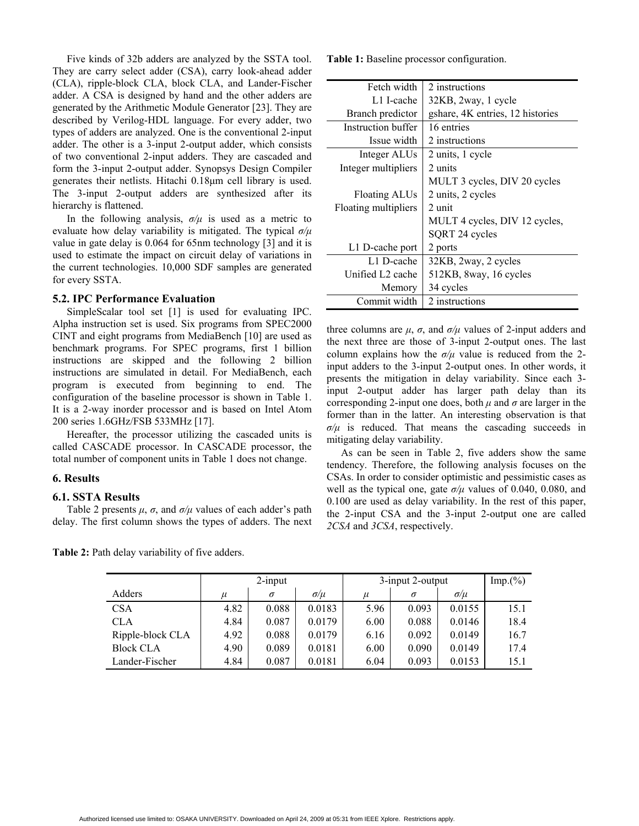Five kinds of 32b adders are analyzed by the SSTA tool. They are carry select adder (CSA), carry look-ahead adder (CLA), ripple-block CLA, block CLA, and Lander-Fischer adder. A CSA is designed by hand and the other adders are generated by the Arithmetic Module Generator [23]. They are described by Verilog-HDL language. For every adder, two types of adders are analyzed. One is the conventional 2-input adder. The other is a 3-input 2-output adder, which consists of two conventional 2-input adders. They are cascaded and form the 3-input 2-output adder. Synopsys Design Compiler generates their netlists. Hitachi 0.18μm cell library is used. The 3-input 2-output adders are synthesized after its hierarchy is flattened.

In the following analysis,  $\sigma/\mu$  is used as a metric to evaluate how delay variability is mitigated. The typical *σ/μ* value in gate delay is 0.064 for 65nm technology [3] and it is used to estimate the impact on circuit delay of variations in the current technologies. 10,000 SDF samples are generated for every SSTA.

# **5.2. IPC Performance Evaluation**

SimpleScalar tool set [1] is used for evaluating IPC. Alpha instruction set is used. Six programs from SPEC2000 CINT and eight programs from MediaBench [10] are used as benchmark programs. For SPEC programs, first 1 billion instructions are skipped and the following 2 billion instructions are simulated in detail. For MediaBench, each program is executed from beginning to end. The configuration of the baseline processor is shown in Table 1. It is a 2-way inorder processor and is based on Intel Atom 200 series 1.6GHz/FSB 533MHz [17].

Hereafter, the processor utilizing the cascaded units is called CASCADE processor. In CASCADE processor, the total number of component units in Table 1 does not change.

# **6. Results**

## **6.1. SSTA Results**

Table 2 presents  $\mu$ ,  $\sigma$ , and  $\sigma/\mu$  values of each adder's path delay. The first column shows the types of adders. The next

**Table 2:** Path delay variability of five adders.

**Table 1:** Baseline processor configuration.

| Fetch width          | 2 instructions                   |
|----------------------|----------------------------------|
| L1 I-cache           | 32KB, 2way, 1 cycle              |
| Branch predictor     | gshare, 4K entries, 12 histories |
| Instruction buffer   | 16 entries                       |
| Issue width          | 2 instructions                   |
| Integer ALUs         | 2 units, 1 cycle                 |
| Integer multipliers  | 2 units                          |
|                      | MULT 3 cycles, DIV 20 cycles     |
| Floating ALUs        | 2 units, 2 cycles                |
| Floating multipliers | 2 unit                           |
|                      | MULT 4 cycles, DIV 12 cycles,    |
|                      | SQRT 24 cycles                   |
| L1 D-cache port      | 2 ports                          |
| L1 D-cache           | 32KB, 2way, 2 cycles             |
| Unified L2 cache     | 512KB, 8way, 16 cycles           |
| Memory               | 34 cycles                        |
| Commit width         | 2 instructions                   |

three columns are  $\mu$ ,  $\sigma$ , and  $\sigma/\mu$  values of 2-input adders and the next three are those of 3-input 2-output ones. The last column explains how the  $\sigma/\mu$  value is reduced from the 2input adders to the 3-input 2-output ones. In other words, it presents the mitigation in delay variability. Since each 3 input 2-output adder has larger path delay than its corresponding 2-input one does, both  $\mu$  and  $\sigma$  are larger in the former than in the latter. An interesting observation is that  $\sigma/\mu$  is reduced. That means the cascading succeeds in mitigating delay variability.

As can be seen in Table 2, five adders show the same tendency. Therefore, the following analysis focuses on the CSAs. In order to consider optimistic and pessimistic cases as well as the typical one, gate  $\sigma/\mu$  values of 0.040, 0.080, and 0.100 are used as delay variability. In the rest of this paper, the 2-input CSA and the 3-input 2-output one are called *2CSA* and *3CSA*, respectively.

|                  | $2$ -input |          |              | 3-input 2-output |          |              | Imp.(%) |
|------------------|------------|----------|--------------|------------------|----------|--------------|---------|
| Adders           | и          | $\sigma$ | $\sigma/\mu$ | $\mu$            | $\sigma$ | $\sigma/\mu$ |         |
| <b>CSA</b>       | 4.82       | 0.088    | 0.0183       | 5.96             | 0.093    | 0.0155       | 15.1    |
| <b>CLA</b>       | 4.84       | 0.087    | 0.0179       | 6.00             | 0.088    | 0.0146       | 18.4    |
| Ripple-block CLA | 4.92       | 0.088    | 0.0179       | 6.16             | 0.092    | 0.0149       | 16.7    |
| <b>Block CLA</b> | 4.90       | 0.089    | 0.0181       | 6.00             | 0.090    | 0.0149       | 17.4    |
| Lander-Fischer   | 4.84       | 0.087    | 0.0181       | 6.04             | 0.093    | 0.0153       | 15.1    |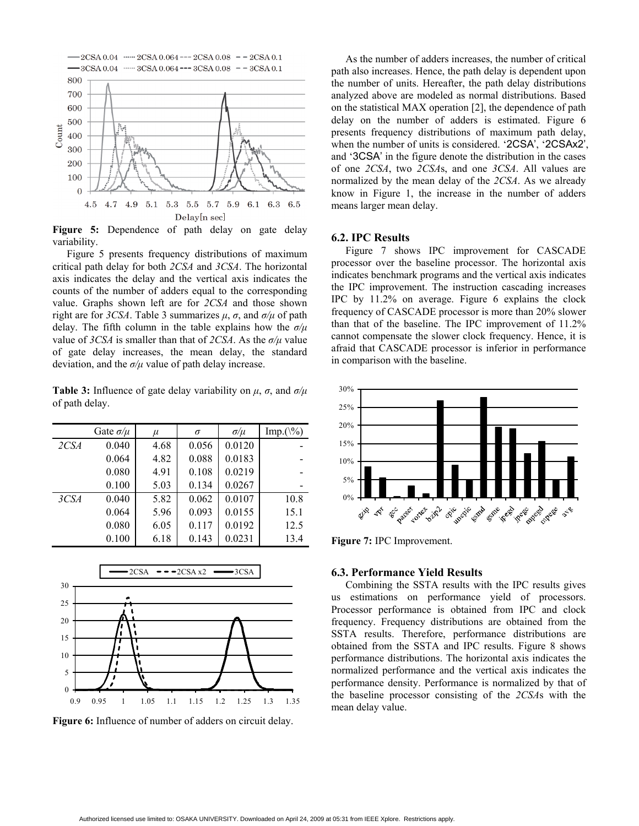

Figure 5: Dependence of path delay on gate delay variability.

Figure 5 presents frequency distributions of maximum critical path delay for both *2CSA* and *3CSA*. The horizontal axis indicates the delay and the vertical axis indicates the counts of the number of adders equal to the corresponding value. Graphs shown left are for *2CSA* and those shown right are for *3CSA*. Table 3 summarizes  $\mu$ ,  $\sigma$ , and  $\sigma/\mu$  of path delay. The fifth column in the table explains how the *σ/μ* value of *3CSA* is smaller than that of *2CSA*. As the *σ/μ* value of gate delay increases, the mean delay, the standard deviation, and the *σ/μ* value of path delay increase.

**Table 3:** Influence of gate delay variability on  $\mu$ ,  $\sigma$ , and  $\sigma/\mu$ of path delay.

|      | Gate $\sigma/\mu$ | $\mu$ | $\sigma$ | $\sigma/\mu$ | Imp. $(\frac{6}{6})$ |
|------|-------------------|-------|----------|--------------|----------------------|
| 2CSA | 0.040             | 4.68  | 0.056    | 0.0120       |                      |
|      | 0.064             | 4.82  | 0.088    | 0.0183       |                      |
|      | 0.080             | 4.91  | 0.108    | 0.0219       |                      |
|      | 0.100             | 5.03  | 0.134    | 0.0267       |                      |
| 3CSA | 0.040             | 5.82  | 0.062    | 0.0107       | 10.8                 |
|      | 0.064             | 5.96  | 0.093    | 0.0155       | 15.1                 |
|      | 0.080             | 6.05  | 0.117    | 0.0192       | 12.5                 |
|      | 0.100             | 6.18  | 0.143    | 0.0231       | 13.4                 |



Figure 6: Influence of number of adders on circuit delay.

As the number of adders increases, the number of critical path also increases. Hence, the path delay is dependent upon the number of units. Hereafter, the path delay distributions analyzed above are modeled as normal distributions. Based on the statistical MAX operation [2], the dependence of path delay on the number of adders is estimated. Figure 6 presents frequency distributions of maximum path delay, when the number of units is considered. '2CSA', '2CSAx2', and '3CSA' in the figure denote the distribution in the cases of one *2CSA*, two *2CSA*s, and one *3CSA*. All values are normalized by the mean delay of the *2CSA*. As we already know in Figure 1, the increase in the number of adders means larger mean delay.

#### **6.2. IPC Results**

Figure 7 shows IPC improvement for CASCADE processor over the baseline processor. The horizontal axis indicates benchmark programs and the vertical axis indicates the IPC improvement. The instruction cascading increases IPC by 11.2% on average. Figure 6 explains the clock frequency of CASCADE processor is more than 20% slower than that of the baseline. The IPC improvement of 11.2% cannot compensate the slower clock frequency. Hence, it is afraid that CASCADE processor is inferior in performance in comparison with the baseline.



**Figure 7:** IPC Improvement.

## **6.3. Performance Yield Results**

Combining the SSTA results with the IPC results gives us estimations on performance yield of processors. Processor performance is obtained from IPC and clock frequency. Frequency distributions are obtained from the SSTA results. Therefore, performance distributions are obtained from the SSTA and IPC results. Figure 8 shows performance distributions. The horizontal axis indicates the normalized performance and the vertical axis indicates the performance density. Performance is normalized by that of the baseline processor consisting of the *2CSA*s with the mean delay value.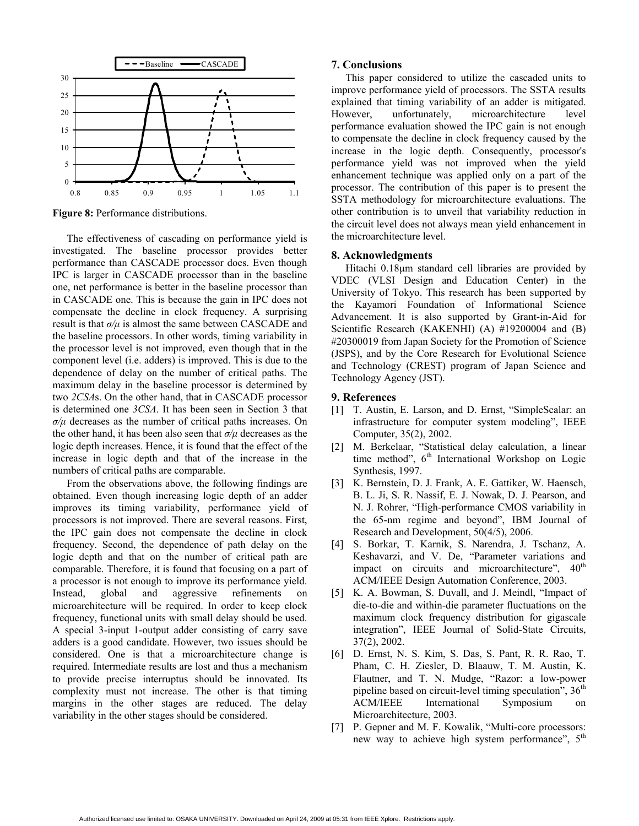

**Figure 8:** Performance distributions.

The effectiveness of cascading on performance yield is investigated. The baseline processor provides better performance than CASCADE processor does. Even though IPC is larger in CASCADE processor than in the baseline one, net performance is better in the baseline processor than in CASCADE one. This is because the gain in IPC does not compensate the decline in clock frequency. A surprising result is that  $\sigma/\mu$  is almost the same between CASCADE and the baseline processors. In other words, timing variability in the processor level is not improved, even though that in the component level (i.e. adders) is improved. This is due to the dependence of delay on the number of critical paths. The maximum delay in the baseline processor is determined by two *2CSA*s. On the other hand, that in CASCADE processor is determined one *3CSA*. It has been seen in Section 3 that *σ/μ* decreases as the number of critical paths increases. On the other hand, it has been also seen that  $\sigma/\mu$  decreases as the logic depth increases. Hence, it is found that the effect of the increase in logic depth and that of the increase in the numbers of critical paths are comparable.

From the observations above, the following findings are obtained. Even though increasing logic depth of an adder improves its timing variability, performance yield of processors is not improved. There are several reasons. First, the IPC gain does not compensate the decline in clock frequency. Second, the dependence of path delay on the logic depth and that on the number of critical path are comparable. Therefore, it is found that focusing on a part of a processor is not enough to improve its performance yield. Instead, global and aggressive refinements on microarchitecture will be required. In order to keep clock frequency, functional units with small delay should be used. A special 3-input 1-output adder consisting of carry save adders is a good candidate. However, two issues should be considered. One is that a microarchitecture change is required. Intermediate results are lost and thus a mechanism to provide precise interruptus should be innovated. Its complexity must not increase. The other is that timing margins in the other stages are reduced. The delay variability in the other stages should be considered.

## **7. Conclusions**

This paper considered to utilize the cascaded units to improve performance yield of processors. The SSTA results explained that timing variability of an adder is mitigated. However, unfortunately, microarchitecture level performance evaluation showed the IPC gain is not enough to compensate the decline in clock frequency caused by the increase in the logic depth. Consequently, processor's performance yield was not improved when the yield enhancement technique was applied only on a part of the processor. The contribution of this paper is to present the SSTA methodology for microarchitecture evaluations. The other contribution is to unveil that variability reduction in the circuit level does not always mean yield enhancement in the microarchitecture level.

#### **8. Acknowledgments**

Hitachi 0.18μm standard cell libraries are provided by VDEC (VLSI Design and Education Center) in the University of Tokyo. This research has been supported by the Kayamori Foundation of Informational Science Advancement. It is also supported by Grant-in-Aid for Scientific Research (KAKENHI) (A) #19200004 and (B) #20300019 from Japan Society for the Promotion of Science (JSPS), and by the Core Research for Evolutional Science and Technology (CREST) program of Japan Science and Technology Agency (JST).

#### **9. References**

- [1] T. Austin, E. Larson, and D. Ernst, "SimpleScalar: an infrastructure for computer system modeling", IEEE Computer, 35(2), 2002.
- [2] M. Berkelaar, "Statistical delay calculation, a linear time method",  $6<sup>th</sup>$  International Workshop on Logic Synthesis, 1997.
- [3] K. Bernstein, D. J. Frank, A. E. Gattiker, W. Haensch, B. L. Ji, S. R. Nassif, E. J. Nowak, D. J. Pearson, and N. J. Rohrer, "High-performance CMOS variability in the 65-nm regime and beyond", IBM Journal of Research and Development, 50(4/5), 2006.
- [4] S. Borkar, T. Karnik, S. Narendra, J. Tschanz, A. Keshavarzi, and V. De, "Parameter variations and impact on circuits and microarchitecture",  $40<sup>th</sup>$ ACM/IEEE Design Automation Conference, 2003.
- [5] K. A. Bowman, S. Duvall, and J. Meindl, "Impact of die-to-die and within-die parameter fluctuations on the maximum clock frequency distribution for gigascale integration", IEEE Journal of Solid-State Circuits, 37(2), 2002.
- [6] D. Ernst, N. S. Kim, S. Das, S. Pant, R. R. Rao, T. Pham, C. H. Ziesler, D. Blaauw, T. M. Austin, K. Flautner, and T. N. Mudge, "Razor: a low-power pipeline based on circuit-level timing speculation",  $36<sup>th</sup>$ ACM/IEEE International Symposium on Microarchitecture, 2003.
- [7] P. Gepner and M. F. Kowalik, "Multi-core processors: new way to achieve high system performance", 5<sup>th</sup>